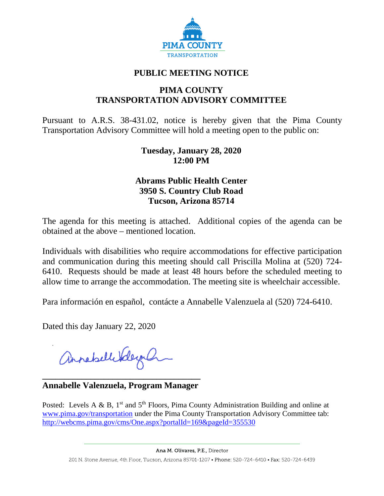

# **PUBLIC MEETING NOTICE**

# **PIMA COUNTY TRANSPORTATION ADVISORY COMMITTEE**

Pursuant to A.R.S. 38-431.02, notice is hereby given that the Pima County Transportation Advisory Committee will hold a meeting open to the public on:

### **Tuesday, January 28, 2020 12:00 PM**

## **Abrams Public Health Center 3950 S. Country Club Road Tucson, Arizona 85714**

The agenda for this meeting is attached. Additional copies of the agenda can be obtained at the above – mentioned location.

Individuals with disabilities who require accommodations for effective participation and communication during this meeting should call Priscilla Molina at (520) 724- 6410. Requests should be made at least 48 hours before the scheduled meeting to allow time to arrange the accommodation. The meeting site is wheelchair accessible.

Para información en español, contácte a Annabelle Valenzuela al (520) 724-6410.

Dated this day January 22, 2020

annahell Vderal

**\_\_\_\_\_\_\_\_\_\_\_\_\_\_\_\_\_\_\_\_\_\_\_\_\_\_\_\_\_\_\_\_\_\_\_\_ Annabelle Valenzuela, Program Manager**

Posted: Levels A & B,  $1<sup>st</sup>$  and  $5<sup>th</sup>$  Floors, Pima County Administration Building and online at [www.pima.gov/transportation](http://www.pima.gov/transportation) under the Pima County Transportation Advisory Committee tab: <http://webcms.pima.gov/cms/One.aspx?portalId=169&pageId=355530>

Ana M. Olivares, P.E., Director

201 N. Stone Avenue, 4th Floor, Tucson, Arizona 85701-1207 • Phone: 520-724-6410 • Fax: 520-724-6439